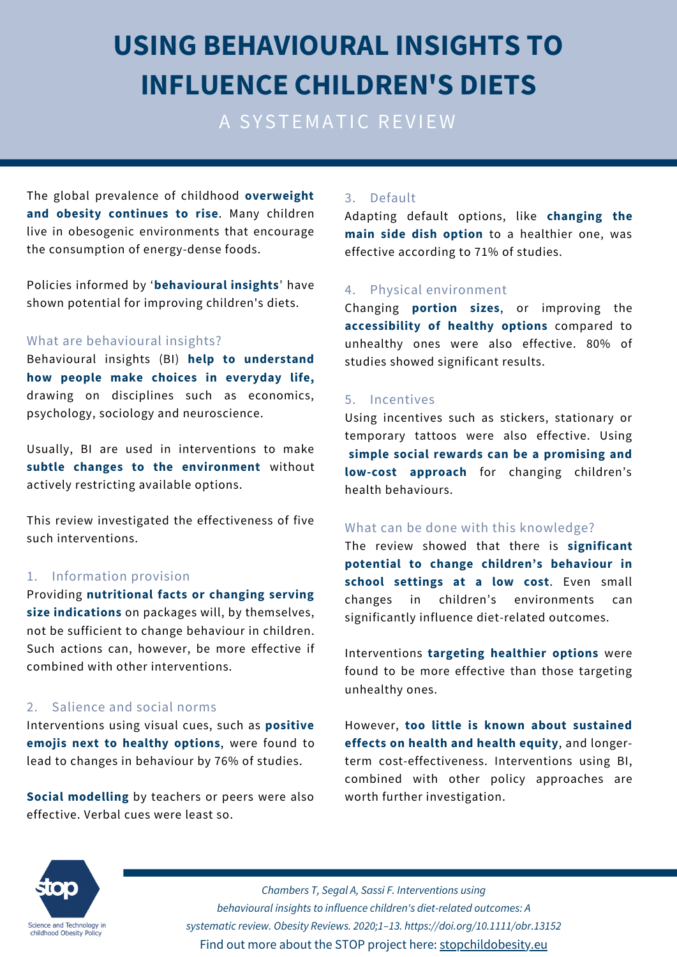# **USING BEHAVIOURAL INSIGHTS TO INFLUENCE CHILDREN'S DIETS**

A SYSTEMATIC REVIEW

The global prevalence of childhood **overweight and obesity continues to rise**. Many children live in obesogenic environments that encourage the consumption of energy-dense foods.

Policies informed by '**behavioural insights**' have shown potential for improving children's diets.

#### What are behavioural insights?

Behavioural insights (BI) **help to understand how people make choices in everyday life,** drawing on disciplines such as economics, psychology, sociology and neuroscience.

Usually, BI are used in interventions to make **subtle changes to the environment** without actively restricting available options.

This review investigated the effectiveness of five such interventions.

#### 1. Information provision

Providing **nutritional facts or changing serving size indications** on packages will, by themselves, not be sufficient to change behaviour in children. Such actions can, however, be more effective if combined with other interventions.

#### 2. Salience and social norms

Interventions using visual cues, such as **positive emojis next to healthy options**, were found to lead to changes in behaviour by 76% of studies.

**Social modelling** by teachers or peers were also effective. Verbal cues were least so.

#### 3. Default

Adapting default options, like **changing the main side dish option** to a healthier one, was effective according to 71% of studies.

#### 4. Physical environment

Changing **portion sizes**, or improving the **accessibility of healthy options** compared to unhealthy ones were also effective. 80% of studies showed significant results.

#### 5. Incentives

Using incentives such as stickers, stationary or temporary tattoos were also effective. Using **simple social rewards can be a promising and low-cost approach** for changing children's health behaviours.

#### What can be done with this knowledge?

The review showed that there is **significant potential to change children's behaviour in school settings at a low cost**. Even small changes in children's environments can significantly influence diet-related outcomes.

Interventions **targeting healthier options** were found to be more effective than those targeting unhealthy ones.

However, **too little is known about sustained effects on health and health equity**, and longerterm cost-effectiveness. Interventions using BI, combined with other policy approaches are worth further investigation.



*Chambers T, Segal A, Sassi F. Interventions using behavioural insights to influence children's diet-related outcomes: A systematic review. Obesity Reviews. 2020;1–13. https://doi.org/10.1111/obr.13152* Find out more about the STOP project here: [stopchildobesity.eu](http://www.stopchildobesity.eu/)